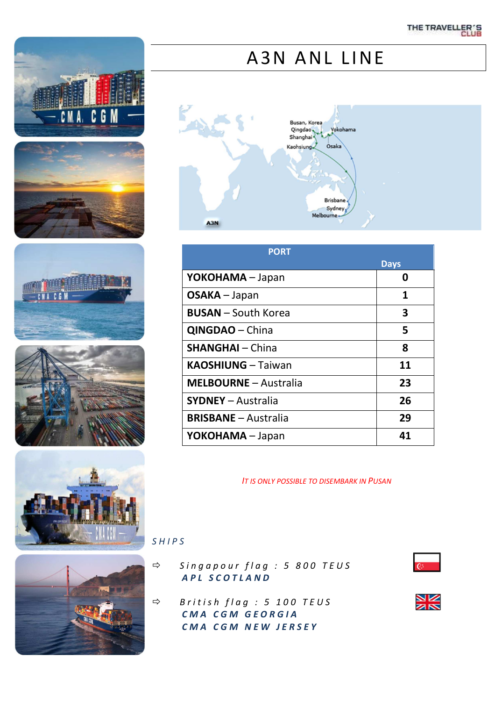





# A3N ANL LINE



| <b>PORT</b>                  |             |
|------------------------------|-------------|
|                              | <b>Days</b> |
| YOKOHAMA - Japan             | 0           |
| <b>OSAKA</b> – Japan         | 1           |
| <b>BUSAN</b> - South Korea   | 3           |
| <b>QINGDAO</b> - China       | 5           |
| <b>SHANGHAI - China</b>      | 8           |
| <b>KAOSHIUNG - Taiwan</b>    | 11          |
| <b>MELBOURNE - Australia</b> | 23          |
| <b>SYDNEY</b> - Australia    | 26          |
| <b>BRISBANE - Australia</b>  | 29          |
| YOKOHAMA - Japan             | 41          |

#### *IT IS ONLY POSSIBLE TO DISEMBARK IN PUSAN*

*S H I P S* 

- $\Rightarrow$  Singapour flag : 5 800 TEUS *A P L S C O T L A N D*
- *B r i t i s h f l a g : 5 1 0 0 T E U S C M A C G M G E O R G I A C M A C G M N E W J E R S E Y*



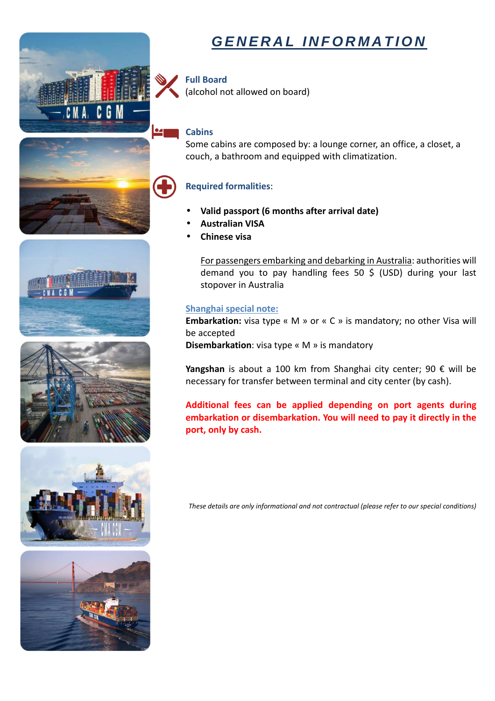







## **GENERAL INFORMATION**

### **Full Board**

(alcohol not allowed on board)

#### **Cabins**

Some cabins are composed by: a lounge corner, an office, a closet, a couch, a bathroom and equipped with climatization.

## **Required formalities**:

- **Valid passport (6 months after arrival date)**
- **Australian VISA**
- **Chinese visa**

For passengers embarking and debarking in Australia: authorities will demand you to pay handling fees 50 \$ (USD) during your last stopover in Australia

#### **Shanghai special note:**

**Embarkation:** visa type « M » or « C » is mandatory; no other Visa will be accepted

**Disembarkation**: visa type « M » is mandatory

**Yangshan** is about a 100 km from Shanghai city center; 90 € will be necessary for transfer between terminal and city center (by cash).

**Additional fees can be applied depending on port agents during embarkation or disembarkation. You will need to pay it directly in the port, only by cash.** 

*These details are only informational and not contractual (please refer to our special conditions)*